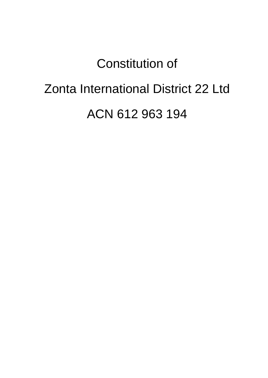# Constitution of

# Zonta International District 22 Ltd

ACN 612 963 194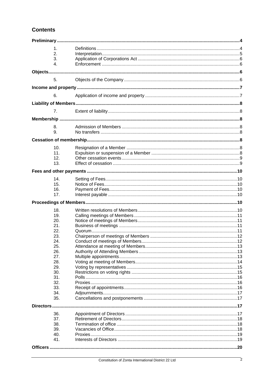# **Contents**

| $\mathbf{1}$ . |  |
|----------------|--|
| 2.             |  |
| 3.             |  |
| 4.             |  |
|                |  |
|                |  |
| 5.             |  |
|                |  |
| 6.             |  |
|                |  |
|                |  |
| 7.             |  |
|                |  |
|                |  |
| 8.             |  |
| 9.             |  |
|                |  |
| 10.            |  |
| 11.            |  |
| 12.            |  |
| 13.            |  |
|                |  |
|                |  |
| 14.            |  |
| 15.            |  |
| 16.            |  |
| 17.            |  |
|                |  |
| 18.            |  |
| 19.            |  |
| 20.            |  |
| 21.            |  |
| 22.            |  |
| 23.            |  |
| 24.            |  |
| 25.            |  |
| 26.            |  |
| 27.            |  |
| 28.            |  |
| 29.            |  |
| 30.            |  |
| 31.            |  |
| 32.            |  |
| 33.            |  |
| 34.            |  |
| 35.            |  |
|                |  |
| 36.            |  |
| 37.            |  |
| 38.            |  |
| 39.            |  |
| 40.            |  |
| 41.            |  |
|                |  |
|                |  |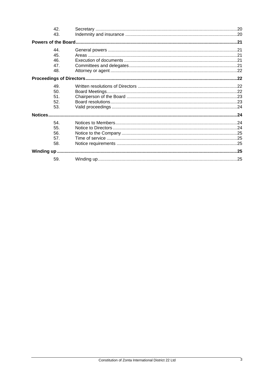|         | 42.<br>43. |  |  |  |  |
|---------|------------|--|--|--|--|
|         |            |  |  |  |  |
|         | 44.        |  |  |  |  |
|         | 45.        |  |  |  |  |
|         | 46.        |  |  |  |  |
|         | 47.        |  |  |  |  |
|         | 48.        |  |  |  |  |
|         |            |  |  |  |  |
|         | 49.        |  |  |  |  |
|         | 50.        |  |  |  |  |
|         | 51.        |  |  |  |  |
|         | 52.        |  |  |  |  |
|         | 53.        |  |  |  |  |
| Notices |            |  |  |  |  |
|         | 54.        |  |  |  |  |
|         | 55.        |  |  |  |  |
|         | 56.        |  |  |  |  |
|         | 57.        |  |  |  |  |
|         | 58.        |  |  |  |  |
|         |            |  |  |  |  |
|         | 59.        |  |  |  |  |
|         |            |  |  |  |  |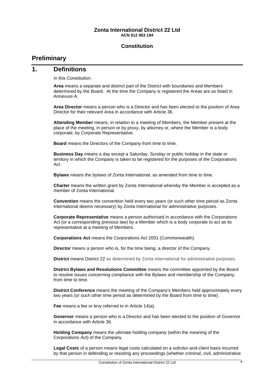#### **Zonta International District 22 Ltd ACN 612 963 194**

#### **Constitution**

# <span id="page-3-0"></span>**Preliminary**

#### <span id="page-3-1"></span>**1. Definitions**

In this Constitution:

**Area** means a separate and distinct part of the District with boundaries and Members determined by the Board. At the time the Company is registered the Areas are as listed in [Annexure](#page-26-0) A.

**Area Director** means a person who is a Director and has been elected to the position of Area Director for their relevant Area in accordance with Article 36.

**Attending Member** means, in relation to a meeting of Members, the Member present at the place of the meeting, in person or by proxy, by attorney or, where the Member is a body corporate, by Corporate Representative.

**Board** means the Directors of the Company from time to time.

**Business Day** means a day except a Saturday, Sunday or public holiday in the state or territory in which the Company is taken to be registered for the purposes of the Corporations Act.

**Bylaws** means the bylaws of Zonta International, as amended from time to time.

**Charter** means the written grant by Zonta International whereby the Member is accepted as a member of Zonta International.

**Convention** means the convention held every two years (or such other time period as Zonta International deems necessary) by Zonta International for administrative purposes.

**Corporate Representative** means a person authorised in accordance with the Corporations Act (or a corresponding previous law) by a Member which is a body corporate to act as its representative at a meeting of Members.

**Corporations Act** means the Corporations Act 2001 (Commonwealth).

**Director** means a person who is, for the time being, a director of the Company.

**District** means District 22 as determined by Zonta International for administrative purposes.

**District Bylaws and Resolutions Committee** means the committee appointed by the Board to resolve issues concerning compliance with the Bylaws and membership of the Company, from time to time.

**District Conference** means the meeting of the Company's Members held approximately every two years (or such other time period as determined by the Board from time to time).

**Fee** means a fee or levy referred to in Article [14\(a\).](#page-9-7)

**Governor** means a person who is a Director and has been elected to the position of Governor in accordance with Article [36.](#page-16-3)

**Holding Company** means the ultimate holding company (within the meaning of the Corporations Act) of the Company.

**Legal Costs** of a person means legal costs calculated on a solicitor-and-client basis incurred by that person in defending or resisting any proceedings (whether criminal, civil, administrative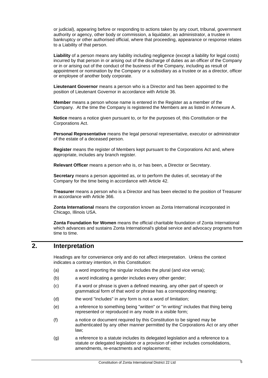or judicial), appearing before or responding to actions taken by any court, tribunal, government authority or agency, other body or commission, a liquidator, an administrator, a trustee in bankruptcy or other authorised official, where that proceeding, appearance or response relates to a Liability of that person.

**Liability** of a person means any liability including negligence (except a liability for legal costs) incurred by that person in or arising out of the discharge of duties as an officer of the Company or in or arising out of the conduct of the business of the Company, including as result of appointment or nomination by the Company or a subsidiary as a trustee or as a director, officer or employee of another body corporate.

**Lieutenant Governor** means a person who is a Director and has been appointed to the position of Lieutenant Governor in accordance with Article 36.

**Member** means a person whose name is entered in the Register as a member of the Company. At the time the Company is registered the Members are as listed in [Annexure](#page-26-0) A.

**Notice** means a notice given pursuant to, or for the purposes of, this Constitution or the Corporations Act.

**Personal Representative** means the legal personal representative, executor or administrator of the estate of a deceased person.

**Register** means the register of Members kept pursuant to the Corporations Act and, where appropriate, includes any branch register.

**Relevant Officer** means a person who is, or has been, a Director or Secretary.

**Secretary** means a person appointed as, or to perform the duties of, secretary of the Company for the time being in accordance with Article 42.

**Treasurer** means a person who is a Director and has been elected to the position of Treasurer in accordance with Article [366](#page-16-3).

**Zonta International** means the corporation known as Zonta International incorporated in Chicago, Illinois USA.

**Zonta Foundation for Women** means the official charitable foundation of Zonta International which advances and sustains Zonta International's global service and advocacy programs from time to time.

### <span id="page-4-0"></span>**2. Interpretation**

Headings are for convenience only and do not affect interpretation. Unless the context indicates a contrary intention, in this Constitution:

- (a) a word importing the singular includes the plural (and vice versa);
- (b) a word indicating a gender includes every other gender;
- (c) if a word or phrase is given a defined meaning, any other part of speech or grammatical form of that word or phrase has a corresponding meaning;
- (d) the word "includes" in any form is not a word of limitation;
- (e) a reference to something being "written" or "in writing" includes that thing being represented or reproduced in any mode in a visible form;
- (f) a notice or document required by this Constitution to be signed may be authenticated by any other manner permitted by the Corporations Act or any other law;
- (g) a reference to a statute includes its delegated legislation and a reference to a statute or delegated legislation or a provision of either includes consolidations, amendments, re-enactments and replacements;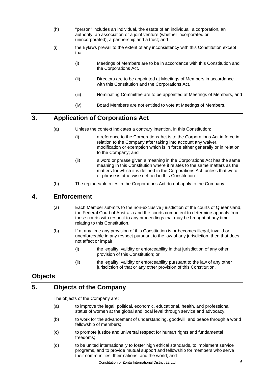- (h) "person" includes an individual, the estate of an individual, a corporation, an authority, an association or a joint venture (whether incorporated or unincorporated), a partnership and a trust; and
- (i) the Bylaws prevail to the extent of any inconsistency with this Constitution except that -
	- (i) Meetings of Members are to be in accordance with this Constitution and the Corporations Act.
	- (ii) Directors are to be appointed at Meetings of Members in accordance with this Constitution and the Corporations Act,
	- (iii) Nominating Committee are to be appointed at Meetings of Members, and
	- (iv) Board Members are not entitled to vote at Meetings of Members.

# <span id="page-5-0"></span>**3. Application of Corporations Act**

- (a) Unless the context indicates a contrary intention, in this Constitution:
	- (i) a reference to the Corporations Act is to the Corporations Act in force in relation to the Company after taking into account any waiver, modification or exemption which is in force either generally or in relation to the Company; and
	- (ii) a word or phrase given a meaning in the Corporations Act has the same meaning in this Constitution where it relates to the same matters as the matters for which it is defined in the Corporations Act, unless that word or phrase is otherwise defined in this Constitution.
- (b) The replaceable rules in the Corporations Act do not apply to the Company.

## <span id="page-5-1"></span>**4. Enforcement**

- (a) Each Member submits to the non-exclusive jurisdiction of the courts of Queensland, the Federal Court of Australia and the courts competent to determine appeals from those courts with respect to any proceedings that may be brought at any time relating to this Constitution.
- (b) If at any time any provision of this Constitution is or becomes illegal, invalid or unenforceable in any respect pursuant to the law of any jurisdiction, then that does not affect or impair:
	- (i) the legality, validity or enforceability in that jurisdiction of any other provision of this Constitution; or
	- (ii) the legality, validity or enforceability pursuant to the law of any other jurisdiction of that or any other provision of this Constitution.

# <span id="page-5-2"></span>**Objects**

# <span id="page-5-3"></span>**5. Objects of the Company**

The objects of the Company are:

- (a) to improve the legal, political, economic, educational, health, and professional status of women at the global and local level through service and advocacy;
- (b) to work for the advancement of understanding, goodwill, and peace through a world fellowship of members;
- (c) to promote justice and universal respect for human rights and fundamental freedoms;
- (d) to be united internationally to foster high ethical standards, to implement service programs, and to provide mutual support and fellowship for members who serve their communities, their nations, and the world; and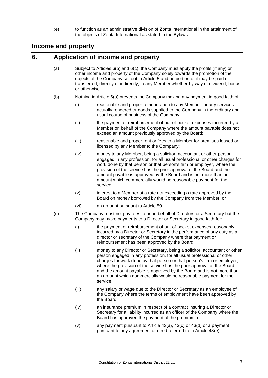(e) to function as an administrative division of Zonta International in the attainment of the objects of Zonta International as stated in the Bylaws.

# <span id="page-6-0"></span>**Income and property**

# <span id="page-6-4"></span><span id="page-6-1"></span>**6. Application of income and property**

- (a) Subject to Articles [6\(b\)](#page-6-2) and [6\(c\),](#page-6-3) the Company must apply the profits (if any) or other income and property of the Company solely towards the promotion of the objects of the Company set out in Article [5](#page-5-3) and no portion of it may be paid or transferred, directly or indirectly, to any Member whether by way of dividend, bonus or otherwise.
- <span id="page-6-2"></span>(b) Nothing in Article [6\(a\)](#page-6-4) prevents the Company making any payment in good faith of:
	- (i) reasonable and proper remuneration to any Member for any services actually rendered or goods supplied to the Company in the ordinary and usual course of business of the Company;
	- (ii) the payment or reimbursement of out-of-pocket expenses incurred by a Member on behalf of the Company where the amount payable does not exceed an amount previously approved by the Board;
	- (iii) reasonable and proper rent or fees to a Member for premises leased or licensed by any Member to the Company;
	- (iv) money to any Member, being a solicitor, accountant or other person engaged in any profession, for all usual professional or other charges for work done by that person or that person's firm or employer, where the provision of the service has the prior approval of the Board and the amount payable is approved by the Board and is not more than an amount which commercially would be reasonable payment for the service;
	- (v) interest to a Member at a rate not exceeding a rate approved by the Board on money borrowed by the Company from the Member; or
	- (vi) an amount pursuant to Article 59.
- <span id="page-6-3"></span>(c) The Company must not pay fees to or on behalf of Directors or a Secretary but the Company may make payments to a Director or Secretary in good faith for:
	- (i) the payment or reimbursement of out-of-pocket expenses reasonably incurred by a Director or Secretary in the performance of any duty as a director or secretary of the Company where that payment or reimbursement has been approved by the Board;
	- (ii) money to any Director or Secretary, being a solicitor, accountant or other person engaged in any profession, for all usual professional or other charges for work done by that person or that person's firm or employer, where the provision of the service has the prior approval of the Board and the amount payable is approved by the Board and is not more than an amount which commercially would be reasonable payment for the service;
	- (iii) any salary or wage due to the Director or Secretary as an employee of the Company where the terms of employment have been approved by the Board;
	- (iv) an insurance premium in respect of a contract insuring a Director or Secretary for a liability incurred as an officer of the Company where the Board has approved the payment of the premium; or
	- (v) any payment pursuant to Article [43\(a\),](#page-19-3) [43\(c\)](#page-19-4) or [43\(d\)](#page-19-5) or a payment pursuant to any agreement or deed referred to in Article [43\(e\).](#page-19-6)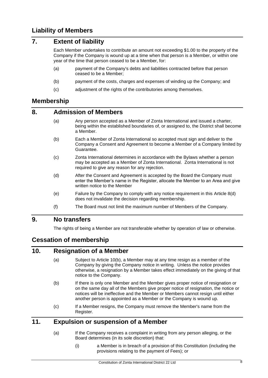# <span id="page-7-1"></span><span id="page-7-0"></span>**7. Extent of liability**

Each Member undertakes to contribute an amount not exceeding \$1.00 to the property of the Company if the Company is wound up at a time when that person is a Member, or within one year of the time that person ceased to be a Member, for:

- (a) payment of the Company's debts and liabilities contracted before that person ceased to be a Member;
- (b) payment of the costs, charges and expenses of winding up the Company; and
- (c) adjustment of the rights of the contributories among themselves.

# <span id="page-7-2"></span>**Membership**

#### <span id="page-7-3"></span>**8. Admission of Members**

- (a) Any person accepted as a Member of Zonta International and issued a charter, being within the established boundaries of, or assigned to, the District shall become a Member.
- (b) Each a Member of Zonta International so accepted must sign and deliver to the Company a Consent and Agreement to become a Member of a Company limited by Guarantee.
- (c) Zonta International determines in accordance with the Bylaws whether a person may be accepted as a Member of Zonta International. Zonta International is not required to give any reason for any rejection.
- <span id="page-7-8"></span>(d) After the Consent and Agreement is accepted by the Board the Company must enter the Member's name in the Register, allocate the Member to an Area and give written notice to the Member
- (e) Failure by the Company to comply with any notice requirement in this Article [8\(d\)](#page-7-8) does not invalidate the decision regarding membership.
- (f) The Board must not limit the maximum number of Members of the Company.

# <span id="page-7-4"></span>**9. No transfers**

The rights of being a Member are not transferable whether by operation of law or otherwise.

# <span id="page-7-5"></span>**Cessation of membership**

#### <span id="page-7-6"></span>**10. Resignation of a Member**

- (a) Subject to Article [10\(b\),](#page-7-9) a Member may at any time resign as a member of the Company by giving the Company notice in writing. Unless the notice provides otherwise, a resignation by a Member takes effect immediately on the giving of that notice to the Company.
- <span id="page-7-9"></span>(b) If there is only one Member and the Member gives proper notice of resignation or on the same day all of the Members give proper notice of resignation, the notice or notices will be ineffective and the Member or Members cannot resign until either another person is appointed as a Member or the Company is wound up.
- (c) If a Member resigns, the Company must remove the Member's name from the Register.

# <span id="page-7-7"></span>**11. Expulsion or suspension of a Member**

- (a) If the Company receives a complaint in writing from any person alleging, or the Board determines (in its sole discretion) that:
	- (i) a Member is in breach of a provision of this Constitution (including the provisions relating to the payment of Fees); or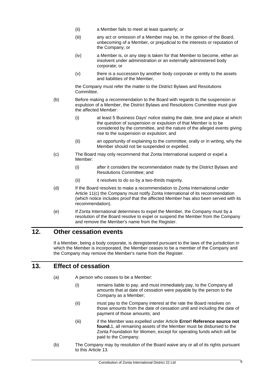- (ii) a Member fails to meet at least quarterly; or
- (iii) any act or omission of a Member may be, in the opinion of the Board, unbecoming of a Member, or prejudicial to the interests or reputation of the Company; or
- (iv) a Member is, or any step is taken for that Member to become, either an insolvent under administration or an externally administered body corporate; or
- (v) there is a succession by another body corporate or entity to the assets and liabilities of the Member,

the Company must refer the matter to the District Bylaws and Resolutions Committee.

- (b) Before making a recommendation to the Board with regards to the suspension or expulsion of a Member, the District Bylaws and Resolutions Committee must give the affected Member:
	- (i) at least 5 Business Days' notice stating the date, time and place at which the question of suspension or expulsion of that Member is to be considered by the committee, and the nature of the alleged events giving rise to the suspension or expulsion; and
	- (ii) an opportunity of explaining to the committee, orally or in writing, why the Member should not be suspended or expelled.
- <span id="page-8-2"></span>(c) The Board may only recommend that Zonta International suspend or expel a Member:
	- (i) after it considers the recommendation made by the District Bylaws and Resolutions Committee; and
	- (ii) it resolves to do so by a two-thirds majority.
- (d) If the Board resolves to make a recommendation to Zonta International under Article [11\(c\)](#page-8-2) the Company must notify Zonta International of its recommendation (which notice includes proof that the affected Member has also been served with its recommendation).
- (e) If Zonta International determines to expel the Member, the Company must by a resolution of the Board resolve to expel or suspend the Member from the Company and remove the Member's name from the Register.

# <span id="page-8-0"></span>**12. Other cessation events**

If a Member, being a body corporate, is deregistered pursuant to the laws of the jurisdiction in which the Member is incorporated, the Member ceases to be a member of the Company and the Company may remove the Member's name from the Register.

# <span id="page-8-1"></span>**13. Effect of cessation**

- (a) A person who ceases to be a Member:
	- (i) remains liable to pay, and must immediately pay, to the Company all amounts that at date of cessation were payable by the person to the Company as a Member;
	- (ii) must pay to the Company interest at the rate the Board resolves on those amounts from the date of cessation until and including the date of payment of those amounts; and
	- (iii) if the Member was expelled under Article **Error! Reference source not found.**1, all remaining assets of the Member must be disbursed to the Zonta Foundation for Women, except for operating funds which will be paid to the Company.
- (b) The Company may by resolution of the Board waive any or all of its rights pursuant to this Article 13.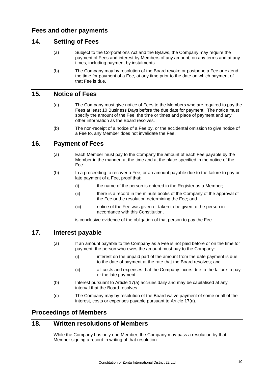#### <span id="page-9-7"></span><span id="page-9-1"></span><span id="page-9-0"></span>**14. Setting of Fees**

- (a) Subject to the Corporations Act and the Bylaws, the Company may require the payment of Fees and interest by Members of any amount, on any terms and at any times, including payment by instalments.
- (b) The Company may by resolution of the Board revoke or postpone a Fee or extend the time for payment of a Fee, at any time prior to the date on which payment of that Fee is due.

## <span id="page-9-2"></span>**15. Notice of Fees**

- (a) The Company must give notice of Fees to the Members who are required to pay the Fees at least 10 Business Days before the due date for payment. The notice must specify the amount of the Fee, the time or times and place of payment and any other information as the Board resolves.
- (b) The non-receipt of a notice of a Fee by, or the accidental omission to give notice of a Fee to, any Member does not invalidate the Fee.

#### <span id="page-9-3"></span>**16. Payment of Fees**

- (a) Each Member must pay to the Company the amount of each Fee payable by the Member in the manner, at the time and at the place specified in the notice of the Fee.
- (b) In a proceeding to recover a Fee, or an amount payable due to the failure to pay or late payment of a Fee, proof that:
	- (i) the name of the person is entered in the Register as a Member;
	- (ii) there is a record in the minute books of the Company of the approval of the Fee or the resolution determining the Fee; and
	- (iii) notice of the Fee was given or taken to be given to the person in accordance with this Constitution,

is conclusive evidence of the obligation of that person to pay the Fee.

### <span id="page-9-8"></span><span id="page-9-4"></span>**17. Interest payable**

- (a) If an amount payable to the Company as a Fee is not paid before or on the time for payment, the person who owes the amount must pay to the Company:
	- (i) interest on the unpaid part of the amount from the date payment is due to the date of payment at the rate that the Board resolves; and
	- (ii) all costs and expenses that the Company incurs due to the failure to pay or the late payment.
- (b) Interest pursuant to Article [17\(a\)](#page-9-8) accrues daily and may be capitalised at any interval that the Board resolves.
- (c) The Company may by resolution of the Board waive payment of some or all of the interest, costs or expenses payable pursuant to Article [17\(a\).](#page-9-8)

### <span id="page-9-5"></span>**Proceedings of Members**

#### <span id="page-9-6"></span>**18. Written resolutions of Members**

While the Company has only one Member, the Company may pass a resolution by that Member signing a record in writing of that resolution.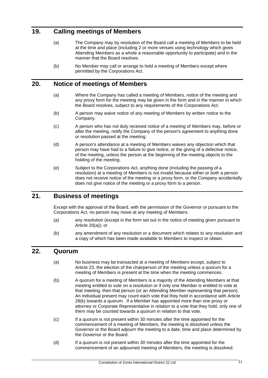# <span id="page-10-0"></span>**19. Calling meetings of Members**

- (a) The Company may by resolution of the Board call a meeting of Members to be held at the time and place (including 2 or more venues using technology which gives Attending Members as a whole a reasonable opportunity to participate) and in the manner that the Board resolves.
- (b) No Member may call or arrange to hold a meeting of Members except where permitted by the Corporations Act.

#### <span id="page-10-4"></span><span id="page-10-1"></span>**20. Notice of meetings of Members**

- (a) Where the Company has called a meeting of Members, notice of the meeting and any proxy form for the meeting may be given in the form and in the manner in which the Board resolves, subject to any requirements of the Corporations Act.
- (b) A person may waive notice of any meeting of Members by written notice to the Company.
- (c) A person who has not duly received notice of a meeting of Members may, before or after the meeting, notify the Company of the person's agreement to anything done or resolution passed at the meeting.
- (d) A person's attendance at a meeting of Members waives any objection which that person may have had to a failure to give notice, or the giving of a defective notice, of the meeting, unless the person at the beginning of the meeting objects to the holding of the meeting.
- (e) Subject to the Corporations Act, anything done (including the passing of a resolution) at a meeting of Members is not invalid because either or both a person does not receive notice of the meeting or a proxy form, or the Company accidentally does not give notice of the meeting or a proxy form to a person.

# <span id="page-10-2"></span>**21. Business of meetings**

Except with the approval of the Board, with the permission of the Governor or pursuant to the Corporations Act, no person may move at any meeting of Members:

- (a) any resolution (except in the form set out in the notice of meeting given pursuant to Article [20\(a\)\)](#page-10-4); or
- (b) any amendment of any resolution or a document which relates to any resolution and a copy of which has been made available to Members to inspect or obtain.

# <span id="page-10-3"></span>**22. Quorum**

- (a) No business may be transacted at a meeting of Members except, subject to Article [23,](#page-11-0) the election of the chairperson of the meeting unless a quorum for a meeting of Members is present at the time when the meeting commences.
- (b) A quorum for a meeting of Members is a majority of the Attending Members at that meeting entitled to vote on a resolution or if only one Member is entitled to vote at that meeting, then that person (or an Attending Member representing that person). An individual present may count each vote that they hold in accordance with Article [28\(k\)](#page-14-2) towards a quorum. If a Member has appointed more than one proxy or attorney or Corporate Representative in relation to a vote that they hold, only one of them may be counted towards a quorum in relation to that vote.
- (c) If a quorum is not present within 30 minutes after the time appointed for the commencement of a meeting of Members, the meeting is dissolved unless the Governor or the Board adjourn the meeting to a date, time and place determined by the Governor or the Board.
- (d) If a quorum is not present within 30 minutes after the time appointed for the commencement of an adjourned meeting of Members, the meeting is dissolved.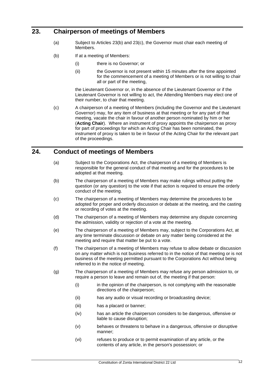# <span id="page-11-0"></span>**23. Chairperson of meetings of Members**

- (a) Subject to Articles [23\(b\)](#page-11-2) and [23\(c\),](#page-11-3) the Governor must chair each meeting of Members.
- <span id="page-11-2"></span>(b) If at a meeting of Members:
	- (i) there is no Governor; or
	- (ii) the Governor is not present within 15 minutes after the time appointed for the commencement of a meeting of Members or is not willing to chair all or part of the meeting,

the Lieutenant Governor or, in the absence of the Lieutenant Governor or if the Lieutenant Governor is not willing to act, the Attending Members may elect one of their number, to chair that meeting.

<span id="page-11-3"></span>(c) A chairperson of a meeting of Members (including the Governor and the Lieutenant Governor) may, for any item of business at that meeting or for any part of that meeting, vacate the chair in favour of another person nominated by him or her (**Acting Chair**). Where an instrument of proxy appoints the chairperson as proxy for part of proceedings for which an Acting Chair has been nominated, the instrument of proxy is taken to be in favour of the Acting Chair for the relevant part of the proceedings.

# <span id="page-11-1"></span>**24. Conduct of meetings of Members**

- (a) Subject to the Corporations Act, the chairperson of a meeting of Members is responsible for the general conduct of that meeting and for the procedures to be adopted at that meeting.
- (b) The chairperson of a meeting of Members may make rulings without putting the question (or any question) to the vote if that action is required to ensure the orderly conduct of the meeting.
- (c) The chairperson of a meeting of Members may determine the procedures to be adopted for proper and orderly discussion or debate at the meeting, and the casting or recording of votes at the meeting.
- (d) The chairperson of a meeting of Members may determine any dispute concerning the admission, validity or rejection of a vote at the meeting.
- (e) The chairperson of a meeting of Members may, subject to the Corporations Act, at any time terminate discussion or debate on any matter being considered at the meeting and require that matter be put to a vote.
- (f) The chairperson of a meeting of Members may refuse to allow debate or discussion on any matter which is not business referred to in the notice of that meeting or is not business of the meeting permitted pursuant to the Corporations Act without being referred to in the notice of meeting.
- (g) The chairperson of a meeting of Members may refuse any person admission to, or require a person to leave and remain out of, the meeting if that person:
	- (i) in the opinion of the chairperson, is not complying with the reasonable directions of the chairperson;
	- (ii) has any audio or visual recording or broadcasting device;
	- (iii) has a placard or banner;
	- (iv) has an article the chairperson considers to be dangerous, offensive or liable to cause disruption;
	- (v) behaves or threatens to behave in a dangerous, offensive or disruptive manner;
	- (vi) refuses to produce or to permit examination of any article, or the contents of any article, in the person's possession; or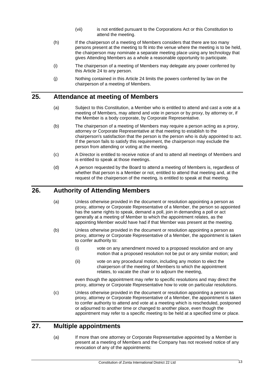- (vii) is not entitled pursuant to the Corporations Act or this Constitution to attend the meeting.
- (h) If the chairperson of a meeting of Members considers that there are too many persons present at the meeting to fit into the venue where the meeting is to be held, the chairperson may nominate a separate meeting place using any technology that gives Attending Members as a whole a reasonable opportunity to participate.
- (i) The chairperson of a meeting of Members may delegate any power conferred by this Article 24 to any person.
- (j) Nothing contained in this Article [24](#page-11-1) limits the powers conferred by law on the chairperson of a meeting of Members.

### <span id="page-12-0"></span>**25. Attendance at meeting of Members**

- (a) Subject to this Constitution, a Member who is entitled to attend and cast a vote at a meeting of Members, may attend and vote in person or by proxy, by attorney or, if the Member is a body corporate, by Corporate Representative.
- (b) The chairperson of a meeting of Members may require a person acting as a proxy, attorney or Corporate Representative at that meeting to establish to the chairperson's satisfaction that the person is the person who is duly appointed to act. If the person fails to satisfy this requirement, the chairperson may exclude the person from attending or voting at the meeting.
- (c) A Director is entitled to receive notice of and to attend all meetings of Members and is entitled to speak at those meetings.
- (d) A person requested by the Board to attend a meeting of Members is, regardless of whether that person is a Member or not, entitled to attend that meeting and, at the request of the chairperson of the meeting, is entitled to speak at that meeting.

## <span id="page-12-1"></span>**26. Authority of Attending Members**

- (a) Unless otherwise provided in the document or resolution appointing a person as proxy, attorney or Corporate Representative of a Member, the person so appointed has the same rights to speak, demand a poll, join in demanding a poll or act generally at a meeting of Member to which the appointment relates, as the appointing Member would have had if that Member was present at the meeting.
- (b) Unless otherwise provided in the document or resolution appointing a person as proxy, attorney or Corporate Representative of a Member, the appointment is taken to confer authority to:
	- (i) vote on any amendment moved to a proposed resolution and on any motion that a proposed resolution not be put or any similar motion; and
	- (ii) vote on any procedural motion, including any motion to elect the chairperson of the meeting of Members to which the appointment relates, to vacate the chair or to adjourn the meeting,

even though the appointment may refer to specific resolutions and may direct the proxy, attorney or Corporate Representative how to vote on particular resolutions.

(c) Unless otherwise provided in the document or resolution appointing a person as proxy, attorney or Corporate Representative of a Member, the appointment is taken to confer authority to attend and vote at a meeting which is rescheduled, postponed or adjourned to another time or changed to another place, even though the appointment may refer to a specific meeting to be held at a specified time or place.

### <span id="page-12-2"></span>**27. Multiple appointments**

(a) If more than one attorney or Corporate Representative appointed by a Member is present at a meeting of Members and the Company has not received notice of any revocation of any of the appointments: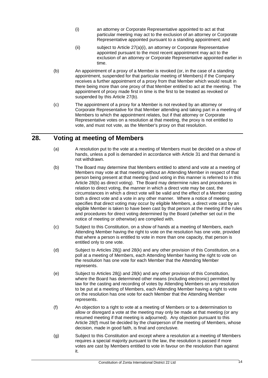- <span id="page-13-1"></span>(i) an attorney or Corporate Representative appointed to act at that particular meeting may act to the exclusion of an attorney or Corporate Representative appointed pursuant to a standing appointment; and
- (ii) subject to Article [27\(a\)\(i\),](#page-13-1) an attorney or Corporate Representative appointed pursuant to the most recent appointment may act to the exclusion of an attorney or Corporate Representative appointed earlier in time.
- <span id="page-13-2"></span>(b) An appointment of a proxy of a Member is revoked (or, in the case of a standing appointment, suspended for that particular meeting of Members) if the Company receives a further appointment of a proxy from that Member which would result in there being more than one proxy of that Member entitled to act at the meeting. The appointment of proxy made first in time is the first to be treated as revoked or suspended by this Article [27\(b\).](#page-13-2)
- (c) The appointment of a proxy for a Member is not revoked by an attorney or Corporate Representative for that Member attending and taking part in a meeting of Members to which the appointment relates, but if that attorney or Corporate Representative votes on a resolution at that meeting, the proxy is not entitled to vote, and must not vote, as the Member's proxy on that resolution.

# <span id="page-13-0"></span>**28. Voting at meeting of Members**

- (a) A resolution put to the vote at a meeting of Members must be decided on a show of hands, unless a poll is demanded in accordance with Article [31](#page-15-0) and that demand is not withdrawn.
- <span id="page-13-3"></span>(b) The Board may determine that Members entitled to attend and vote at a meeting of Members may vote at that meeting without an Attending Member in respect of that person being present at that meeting (and voting in this manner is referred to in this Article [28\(b\)](#page-13-3) as direct voting). The Board may determine rules and procedures in relation to direct voting, the manner in which a direct vote may be cast, the circumstances in which a direct vote will be valid and the effect of a Member casting both a direct vote and a vote in any other manner. Where a notice of meeting specifies that direct voting may occur by eligible Members, a direct vote cast by an eligible Member is taken to have been cast by that person at the meeting if the rules and procedures for direct voting determined by the Board (whether set out in the notice of meeting or otherwise) are complied with.
- (c) Subject to this Constitution, on a show of hands at a meeting of Members, each Attending Member having the right to vote on the resolution has one vote, provided that where a person is entitled to vote in more than one capacity, that person is entitled only to one vote.
- (d) Subject to Articles 28(j) and [28\(k\)](#page-14-2) and any other provision of this Constitution, on a poll at a meeting of Members, each Attending Member having the right to vote on the resolution has one vote for each Member that the Attending Member represents.
- (e) Subject to Articles 28(j) and [28\(k\)](#page-14-2) and any other provision of this Constitution, where the Board has determined other means (including electronic) permitted by law for the casting and recording of votes by Attending Members on any resolution to be put at a meeting of Members, each Attending Member having a right to vote on the resolution has one vote for each Member that the Attending Member represents.
- <span id="page-13-4"></span>(f) An objection to a right to vote at a meeting of Members or to a determination to allow or disregard a vote at the meeting may only be made at that meeting (or any resumed meeting if that meeting is adjourned). Any objection pursuant to this Article [28\(f\)](#page-13-4) must be decided by the chairperson of the meeting of Members, whose decision, made in good faith, is final and conclusive.
- (g) Subject to this Constitution and except where a resolution at a meeting of Members requires a special majority pursuant to the law, the resolution is passed if more votes are cast by Members entitled to vote in favour on the resolution than against it.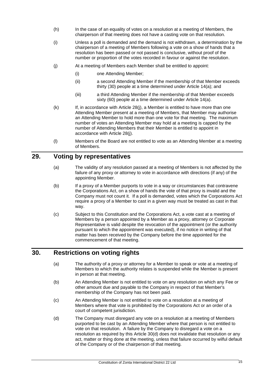- (h) In the case of an equality of votes on a resolution at a meeting of Members, the chairperson of that meeting does not have a casting vote on that resolution.
- (i) Unless a poll is demanded and the demand is not withdrawn, a determination by the chairperson of a meeting of Members following a vote on a show of hands that a resolution has been passed or not passed is conclusive, without proof of the number or proportion of the votes recorded in favour or against the resolution.
- <span id="page-14-3"></span>(j) At a meeting of Members each Member shall be entitled to appoint:
	- (i) one Attending Member;
	- (ii) a second Attending Member if the membership of that Member exceeds thirty (30) people at a time determined under Article [14\(a\);](#page-9-7) and
	- (iii) a third Attending Member if the membership of that Member exceeds sixty (60) people at a time determined under Article [14\(a\).](#page-9-7)
- <span id="page-14-2"></span>(k) If, in accordance with Article [28\(j\),](#page-14-3) a Member is entitled to have more than one Attending Member present at a meeting of Members, that Member may authorise an Attending Member to hold more than one vote for that meeting. The maximum number of votes an Attending Member may hold at a meeting is capped by the number of Attending Members that their Member is entitled to appoint in accordance with Article [28\(j\).](#page-14-3)
- (l) Members of the Board are not entitled to vote as an Attending Member at a meeting of Members.

## <span id="page-14-0"></span>**29. Voting by representatives**

- (a) The validity of any resolution passed at a meeting of Members is not affected by the failure of any proxy or attorney to vote in accordance with directions (if any) of the appointing Member.
- (b) If a proxy of a Member purports to vote in a way or circumstances that contravene the Corporations Act, on a show of hands the vote of that proxy is invalid and the Company must not count it. If a poll is demanded, votes which the Corporations Act require a proxy of a Member to cast in a given way must be treated as cast in that way.
- (c) Subject to this Constitution and the Corporations Act, a vote cast at a meeting of Members by a person appointed by a Member as a proxy, attorney or Corporate Representative is valid despite the revocation of the appointment (or the authority pursuant to which the appointment was executed), if no notice in writing of that matter has been received by the Company before the time appointed for the commencement of that meeting.

# <span id="page-14-1"></span>**30. Restrictions on voting rights**

- (a) The authority of a proxy or attorney for a Member to speak or vote at a meeting of Members to which the authority relates is suspended while the Member is present in person at that meeting.
- (b) An Attending Member is not entitled to vote on any resolution on which any Fee or other amount due and payable to the Company in respect of that Member's membership of the Company has not been paid.
- (c) An Attending Member is not entitled to vote on a resolution at a meeting of Members where that vote is prohibited by the Corporations Act or an order of a court of competent jurisdiction.
- <span id="page-14-4"></span>(d) The Company must disregard any vote on a resolution at a meeting of Members purported to be cast by an Attending Member where that person is not entitled to vote on that resolution. A failure by the Company to disregard a vote on a resolution as required by this Article [30\(d\)](#page-14-4) does not invalidate that resolution or any act, matter or thing done at the meeting, unless that failure occurred by wilful default of the Company or of the chairperson of that meeting.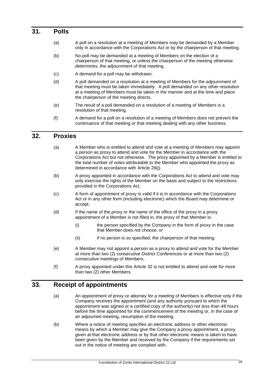#### <span id="page-15-0"></span>**31. Polls**

- (a) A poll on a resolution at a meeting of Members may be demanded by a Member only in accordance with the Corporations Act or by the chairperson of that meeting.
- (b) No poll may be demanded at a meeting of Members on the election of a chairperson of that meeting, or unless the chairperson of the meeting otherwise determines, the adjournment of that meeting.
- (c) A demand for a poll may be withdrawn.
- (d) A poll demanded on a resolution at a meeting of Members for the adjournment of that meeting must be taken immediately. A poll demanded on any other resolution at a meeting of Members must be taken in the manner and at the time and place the chairperson of the meeting directs.
- (e) The result of a poll demanded on a resolution of a meeting of Members is a resolution of that meeting.
- (f) A demand for a poll on a resolution of a meeting of Members does not prevent the continuance of that meeting or that meeting dealing with any other business.

#### <span id="page-15-1"></span>**32. Proxies**

- (a) A Member who is entitled to attend and vote at a meeting of Members may appoint a person as proxy to attend and vote for the Member in accordance with the Corporations Act but not otherwise. The proxy appointed by a Member is entitled to the total number of votes attributable to the Member who appointed the proxy as determined in accordance with Article [28\(j\).](#page-14-3)
- (b) A proxy appointed in accordance with the Corporations Act to attend and vote may only exercise the rights of the Member on the basis and subject to the restrictions provided in the Corporations Act.
- (c) A form of appointment of proxy is valid if it is in accordance with the Corporations Act or in any other form (including electronic) which the Board may determine or accept.
- (d) If the name of the proxy or the name of the office of the proxy in a proxy appointment of a Member is not filled in, the proxy of that Member is:
	- (i) the person specified by the Company in the form of proxy in the case that Member does not choose; or
	- (ii) if no person is so specified, the chairperson of that meeting.
- (e) A Member may not appoint a person as a proxy to attend and vote for the Member at more than two (2) consecutive District Conferences or at more than two (2) consecutive meetings of Members.
- (f) A proxy appointed under this Article 32 is not entitled to attend and vote for more than two (2) other Members.

### <span id="page-15-2"></span>**33. Receipt of appointments**

- (a) An appointment of proxy or attorney for a meeting of Members is effective only if the Company receives the appointment (and any authority pursuant to which the appointment was signed or a certified copy of the authority) not less than 48 hours before the time appointed for the commencement of the meeting or, in the case of an adjourned meeting, resumption of the meeting.
- (b) Where a notice of meeting specifies an electronic address or other electronic means by which a Member may give the Company a proxy appointment, a proxy given at that electronic address or by that other electronic means is taken to have been given by the Member and received by the Company if the requirements set out in the notice of meeting are complied with.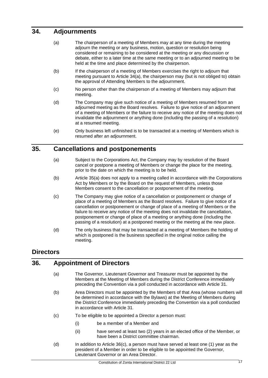# <span id="page-16-4"></span><span id="page-16-0"></span>**34. Adjournments**

- (a) The chairperson of a meeting of Members may at any time during the meeting adjourn the meeting or any business, motion, question or resolution being considered or remaining to be considered at the meeting or any discussion or debate, either to a later time at the same meeting or to an adjourned meeting to be held at the time and place determined by the chairperson.
- (b) If the chairperson of a meeting of Members exercises the right to adjourn that meeting pursuant to Article [34\(a\),](#page-16-4) the chairperson may (but is not obliged to) obtain the approval of Attending Members to the adjournment.
- (c) No person other than the chairperson of a meeting of Members may adjourn that meeting.
- (d) The Company may give such notice of a meeting of Members resumed from an adjourned meeting as the Board resolves. Failure to give notice of an adjournment of a meeting of Members or the failure to receive any notice of the meeting does not invalidate the adjournment or anything done (including the passing of a resolution) at a resumed meeting.
- (e) Only business left unfinished is to be transacted at a meeting of Members which is resumed after an adjournment.

# <span id="page-16-5"></span><span id="page-16-1"></span>**35. Cancellations and postponements**

- (a) Subject to the Corporations Act, the Company may by resolution of the Board cancel or postpone a meeting of Members or change the place for the meeting, prior to the date on which the meeting is to be held.
- (b) Article [35\(a\)](#page-16-5) does not apply to a meeting called in accordance with the Corporations Act by Members or by the Board on the request of Members, unless those Members consent to the cancellation or postponement of the meeting.
- (c) The Company may give notice of a cancellation or postponement or change of place of a meeting of Members as the Board resolves. Failure to give notice of a cancellation or postponement or change of place of a meeting of Members or the failure to receive any notice of the meeting does not invalidate the cancellation, postponement or change of place of a meeting or anything done (including the passing of a resolution) at a postponed meeting or the meeting at the new place.
- (d) The only business that may be transacted at a meeting of Members the holding of which is postponed is the business specified in the original notice calling the meeting.

# <span id="page-16-2"></span>**Directors**

# <span id="page-16-7"></span><span id="page-16-3"></span>**36. Appointment of Directors**

- (a) The Governor, Lieutenant Governor and Treasurer must be appointed by the Members at the Meeting of Members during the District Conference immediately preceding the Convention via a poll conducted in accordance with Article 31.
- <span id="page-16-8"></span>(b) Area Directors must be appointed by the Members of that Area (whose numbers will be determined in accordance with the Bylaws) at the Meeting of Members during the District Conference immediately preceding the Convention via a poll conducted in accordance with Article 31.
- <span id="page-16-6"></span>(c) To be eligible to be appointed a Director a person must:
	- (i) be a member of a Member and
	- (ii) have served at least two (2) years in an elected office of the Member, or have been a District committee chairman.
- (d) In addition to Article [36\(c\),](#page-16-6) a person must have served at least one (1) year as the president of a Member in order to be eligible to be appointed the Governor, Lieutenant Governor or an Area Director.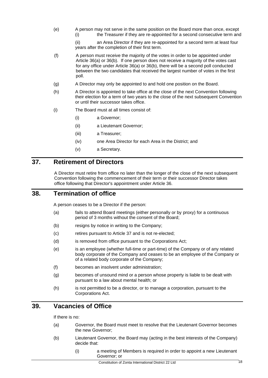(e) A person may not serve in the same position on the Board more than once, except (i) the Treasurer if they are re-appointed for a second consecutive term and

> (ii) an Area Director if they are re-appointed for a second term at least four years after the completion of their first term.

- (f) A person must receive the majority of the votes in order to be appointed under Article [36\(a\)](#page-16-7) or [36\(b\).](#page-16-8) If one person does not receive a majority of the votes cast for any office under Article 36(a) or [36\(b\),](#page-16-8) there will be a second poll conducted between the two candidates that received the largest number of votes in the first poll.
- (g) A Director may only be appointed to and hold one position on the Board.
- (h) A Director is appointed to take office at the close of the next Convention following their election for a term of two years to the close of the next subsequent Convention or until their successor takes office.
- (i) The Board must at all times consist of:
	- (i) a Governor;
	- (ii) a Lieutenant Governor;
	- (iii) a Treasurer;
	- (iv) one Area Director for each Area in the District; and
	- (v) a Secretary.

#### <span id="page-17-0"></span>**37. Retirement of Directors**

A Director must retire from office no later than the longer of the close of the next subsequent Convention following the commencement of their term or their successor Director takes office following that Director's appointment under Article [36.](#page-16-3)

#### <span id="page-17-1"></span>**38. Termination of office**

A person ceases to be a Director if the person:

- (a) fails to attend Board meetings (either personally or by proxy) for a continuous period of 3 months without the consent of the Board;
- (b) resigns by notice in writing to the Company;
- (c) retires pursuant to Article [37](#page-17-0) and is not re-elected;
- (d) is removed from office pursuant to the Corporations Act;
- (e) is an employee (whether full-time or part-time) of the Company or of any related body corporate of the Company and ceases to be an employee of the Company or of a related body corporate of the Company;
- (f) becomes an insolvent under administration;
- (g) becomes of unsound mind or a person whose property is liable to be dealt with pursuant to a law about mental health; or
- (h) is not permitted to be a director, or to manage a corporation, pursuant to the Corporations Act.

## <span id="page-17-2"></span>**39. Vacancies of Office**

If there is no:

- (a) Governor, the Board must meet to resolve that the Lieutenant Governor becomes the new Governor;
- (b) Lieutenant Governor, the Board may (acting in the best interests of the Company) decide that:
	- (i) a meeting of Members is required in order to appoint a new Lieutenant Governor; or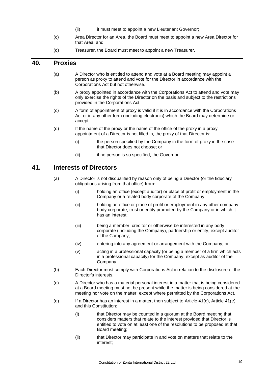- (ii) it must meet to appoint a new Lieutenant Governor;
- (c) Area Director for an Area, the Board must meet to appoint a new Area Director for that Area; and
- (d) Treasurer, the Board must meet to appoint a new Treasurer.

#### <span id="page-18-0"></span>**40. Proxies**

- (a) A Director who is entitled to attend and vote at a Board meeting may appoint a person as proxy to attend and vote for the Director in accordance with the Corporations Act but not otherwise.
- (b) A proxy appointed in accordance with the Corporations Act to attend and vote may only exercise the rights of the Director on the basis and subject to the restrictions provided in the Corporations Act.
- (c) A form of appointment of proxy is valid if it is in accordance with the Corporations Act or in any other form (including electronic) which the Board may determine or accept.
- (d) If the name of the proxy or the name of the office of the proxy in a proxy appointment of a Director is not filled in, the proxy of that Director is:
	- (i) the person specified by the Company in the form of proxy in the case that Director does not choose; or
	- (ii) if no person is so specified, the Governor.

#### <span id="page-18-1"></span>**41. Interests of Directors**

- (a) A Director is not disqualified by reason only of being a Director (or the fiduciary obligations arising from that office) from:
	- (i) holding an office (except auditor) or place of profit or employment in the Company or a related body corporate of the Company;
	- (ii) holding an office or place of profit or employment in any other company, body corporate, trust or entity promoted by the Company or in which it has an interest;
	- (iii) being a member, creditor or otherwise be interested in any body corporate (including the Company), partnership or entity, except auditor of the Company;
	- (iv) entering into any agreement or arrangement with the Company; or
	- (v) acting in a professional capacity (or being a member of a firm which acts in a professional capacity) for the Company, except as auditor of the Company.
- <span id="page-18-3"></span>(b) Each Director must comply with Corporations Act in relation to the disclosure of the Director's interests.
- <span id="page-18-2"></span>(c) A Director who has a material personal interest in a matter that is being considered at a Board meeting must not be present while the matter is being considered at the meeting nor vote on the matter, except where permitted by the Corporations Act.
- (d) If a Director has an interest in a matter, then subject to Article  $41(c)$ , Article  $41(e)$ and this Constitution:
	- (i) that Director may be counted in a quorum at the Board meeting that considers matters that relate to the interest provided that Director is entitled to vote on at least one of the resolutions to be proposed at that Board meeting;
	- (ii) that Director may participate in and vote on matters that relate to the interest;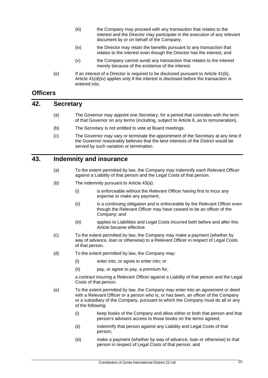- (iii) the Company may proceed with any transaction that relates to the interest and the Director may participate in the execution of any relevant document by or on behalf of the Company;
- (iv) the Director may retain the benefits pursuant to any transaction that relates to the interest even though the Director has the interest; and
- (v) the Company cannot avoid any transaction that relates to the interest merely because of the existence of the interest.
- <span id="page-19-8"></span>(e) If an interest of a Director is required to be disclosed pursuant to Article [41\(b\),](#page-18-3) Article [41\(d\)\(iv\)](#page-19-8) applies only if the interest is disclosed before the transaction is entered into.

### <span id="page-19-7"></span><span id="page-19-0"></span>**Officers**

#### <span id="page-19-1"></span>**42. Secretary**

- (a) The Governor may appoint one Secretary, for a period that coincides with the term of that Governor on any terms (including, subject to Article [6,](#page-6-1) as to remuneration).
- (b) The Secretary is not entitled to vote at Board meetings.
- (c) The Governor may vary or terminate the appointment of the Secretary at any time if the Governor reasonably believes that the best interests of the District would be served by such variation or termination.

#### <span id="page-19-3"></span><span id="page-19-2"></span>**43. Indemnity and insurance**

- (a) To the extent permitted by law, the Company may indemnify each Relevant Officer against a Liability of that person and the Legal Costs of that person.
- (b) The indemnity pursuant to Article [43\(a\):](#page-19-3)
	- (i) is enforceable without the Relevant Officer having first to incur any expense or make any payment;
	- (ii) is a continuing obligation and is enforceable by the Relevant Officer even though the Relevant Officer may have ceased to be an officer of the Company; and
	- (iii) applies to Liabilities and Legal Costs incurred both before and after this Article became effective.
- <span id="page-19-4"></span>(c) To the extent permitted by law, the Company may make a payment (whether by way of advance, loan or otherwise) to a Relevant Officer in respect of Legal Costs of that person.
- <span id="page-19-5"></span>(d) To the extent permitted by law, the Company may:
	- (i) enter into, or agree to enter into; or
	- (ii) pay, or agree to pay, a premium for,

a contract insuring a Relevant Officer against a Liability of that person and the Legal Costs of that person.

- <span id="page-19-6"></span>(e) To the extent permitted by law, the Company may enter into an agreement or deed with a Relevant Officer or a person who is, or has been, an officer of the Company or a subsidiary of the Company, pursuant to which the Company must do all or any of the following:
	- (i) keep books of the Company and allow either or both that person and that person's advisers access to those books on the terms agreed;
	- (ii) indemnify that person against any Liability and Legal Costs of that person;
	- (iii) make a payment (whether by way of advance, loan or otherwise) to that person in respect of Legal Costs of that person; and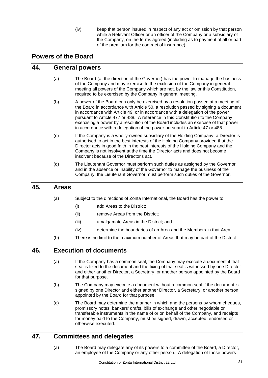(iv) keep that person insured in respect of any act or omission by that person while a Relevant Officer or an officer of the Company or a subsidiary of the Company, on the terms agreed (including as to payment of all or part of the premium for the contract of insurance).

# <span id="page-20-0"></span>**Powers of the Board**

## <span id="page-20-1"></span>**44. General powers**

- (a) The Board (at the direction of the Governor) has the power to manage the business of the Company and may exercise to the exclusion of the Company in general meeting all powers of the Company which are not, by the law or this Constitution, required to be exercised by the Company in general meeting.
- (b) A power of the Board can only be exercised by a resolution passed at a meeting of the Board in accordance with Article [50,](#page-21-3) a resolution passed by signing a document in accordance with Article 49, or in accordance with a delegation of the power pursuant to Article [477](#page-20-4) or [488](#page-21-0). A reference in this Constitution to the Company exercising a power by a resolution of the Board includes an exercise of that power in accordance with a delegation of the power pursuant to Article [47](#page-20-4) or [488](#page-21-0).
- (c) If the Company is a wholly-owned subsidiary of the Holding Company, a Director is authorised to act in the best interests of the Holding Company provided that the Director acts in good faith in the best interests of the Holding Company and the Company is not insolvent at the time the Director acts and does not become insolvent because of the Director's act.
- (d) The Lieutenant Governor must perform such duties as assigned by the Governor and in the absence or inability of the Governor to manage the business of the Company, the Lieutenant Governor must perform such duties of the Governor.

#### <span id="page-20-2"></span>**45. Areas**

- (a) Subject to the directions of Zonta International, the Board has the power to:
	- (i) add Areas to the District;
	- (ii) remove Areas from the District;
	- (iii) amalgamate Areas in the District; and
	- (iv) determine the boundaries of an Area and the Members in that Area.
- (b) There is no limit to the maximum number of Areas that may be part of the District.

# <span id="page-20-3"></span>**46. Execution of documents**

- (a) If the Company has a common seal, the Company may execute a document if that seal is fixed to the document and the fixing of that seal is witnessed by one Director and either another Director, a Secretary, or another person appointed by the Board for that purpose.
- (b) The Company may execute a document without a common seal if the document is signed by one Director and either another Director, a Secretary, or another person appointed by the Board for that purpose.
- (c) The Board may determine the manner in which and the persons by whom cheques, promissory notes, bankers' drafts, bills of exchange and other negotiable or transferable instruments in the name of or on behalf of the Company, and receipts for money paid to the Company, must be signed, drawn, accepted, endorsed or otherwise executed.

# <span id="page-20-4"></span>**47. Committees and delegates**

(a) The Board may delegate any of its powers to a committee of the Board, a Director, an employee of the Company or any other person. A delegation of those powers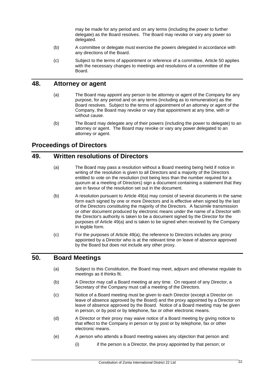may be made for any period and on any terms (including the power to further delegate) as the Board resolves. The Board may revoke or vary any power so delegated.

- (b) A committee or delegate must exercise the powers delegated in accordance with any directions of the Board.
- (c) Subject to the terms of appointment or reference of a committee, Article 50 applies with the necessary changes to meetings and resolutions of a committee of the Board.

#### <span id="page-21-0"></span>**48. Attorney or agent**

- (a) The Board may appoint any person to be attorney or agent of the Company for any purpose, for any period and on any terms (including as to remuneration) as the Board resolves. Subject to the terms of appointment of an attorney or agent of the Company, the Board may revoke or vary that appointment at any time, with or without cause.
- (b) The Board may delegate any of their powers (including the power to delegate) to an attorney or agent. The Board may revoke or vary any power delegated to an attorney or agent.

# <span id="page-21-1"></span>**Proceedings of Directors**

#### <span id="page-21-4"></span><span id="page-21-2"></span>**49. Written resolutions of Directors**

- (a) The Board may pass a resolution without a Board meeting being held if notice in writing of the resolution is given to all Directors and a majority of the Directors entitled to vote on the resolution (not being less than the number required for a quorum at a meeting of Directors) sign a document containing a statement that they are in favour of the resolution set out in the document.
- (b) A resolution pursuant to Article 49(a) may consist of several documents in the same form each signed by one or more Directors and is effective when signed by the last of the Directors constituting the majority of the Directors. A facsimile transmission or other document produced by electronic means under the name of a Director with the Director's authority is taken to be a document signed by the Director for the purposes of Article [49\(a\)](#page-21-4) and is taken to be signed when received by the Company in legible form.
- (c) For the purposes of Article [49\(a\),](#page-21-4) the reference to Directors includes any proxy appointed by a Director who is at the relevant time on leave of absence approved by the Board but does not include any other proxy.

#### <span id="page-21-3"></span>**50. Board Meetings**

- (a) Subject to this Constitution, the Board may meet, adjourn and otherwise regulate its meetings as it thinks fit.
- (b) A Director may call a Board meeting at any time. On request of any Director, a Secretary of the Company must call a meeting of the Directors.
- (c) Notice of a Board meeting must be given to each Director (except a Director on leave of absence approved by the Board) and the proxy appointed by a Director on leave of absence approved by the Board. Notice of a Board meeting may be given in person, or by post or by telephone, fax or other electronic means.
- (d) A Director or their proxy may waive notice of a Board meeting by giving notice to that effect to the Company in person or by post or by telephone, fax or other electronic means.
- (e) A person who attends a Board meeting waives any objection that person and:
	- (i) if the person is a Director, the proxy appointed by that person; or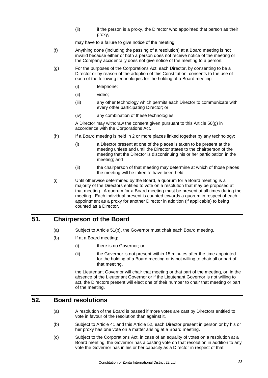(ii) if the person is a proxy, the Director who appointed that person as their proxy,

may have to a failure to give notice of the meeting.

- (f) Anything done (including the passing of a resolution) at a Board meeting is not invalid because either or both a person does not receive notice of the meeting or the Company accidentally does not give notice of the meeting to a person.
- <span id="page-22-2"></span>(g) For the purposes of the Corporations Act, each Director, by consenting to be a Director or by reason of the adoption of this Constitution, consents to the use of each of the following technologies for the holding of a Board meeting:
	- (i) telephone;
	- (ii) video;
	- (iii) any other technology which permits each Director to communicate with every other participating Director; or
	- (iv) any combination of these technologies.

A Director may withdraw the consent given pursuant to this Article [50\(g\)](#page-22-2) in accordance with the Corporations Act.

- (h) If a Board meeting is held in 2 or more places linked together by any technology:
	- (i) a Director present at one of the places is taken to be present at the meeting unless and until the Director states to the chairperson of the meeting that the Director is discontinuing his or her participation in the meeting; and
	- (ii) the chairperson of that meeting may determine at which of those places the meeting will be taken to have been held.
- (i) Until otherwise determined by the Board, a quorum for a Board meeting is a majority of the Directors entitled to vote on a resolution that may be proposed at that meeting. A quorum for a Board meeting must be present at all times during the meeting. Each individual present is counted towards a quorum in respect of each appointment as a proxy for another Director in addition (if applicable) to being counted as a Director.

## <span id="page-22-3"></span><span id="page-22-0"></span>**51. Chairperson of the Board**

- (a) Subject to Article [51\(b\),](#page-22-3) the Governor must chair each Board meeting.
- (b) If at a Board meeting:
	- (i) there is no Governor; or
	- (ii) the Governor is not present within 15 minutes after the time appointed for the holding of a Board meeting or is not willing to chair all or part of that meeting,

the Lieutenant Governor will chair that meeting or that part of the meeting, or, in the absence of the Lieutenant Governor or if the Lieutenant Governor is not willing to act, the Directors present will elect one of their number to chair that meeting or part of the meeting.

## <span id="page-22-1"></span>**52. Board resolutions**

- (a) A resolution of the Board is passed if more votes are cast by Directors entitled to vote in favour of the resolution than against it.
- (b) Subject to Article [41](#page-18-1) and this Article [52,](#page-22-1) each Director present in person or by his or her proxy has one vote on a matter arising at a Board meeting.
- (c) Subject to the Corporations Act, in case of an equality of votes on a resolution at a Board meeting, the Governor has a casting vote on that resolution in addition to any vote the Governor has in his or her capacity as a Director in respect of that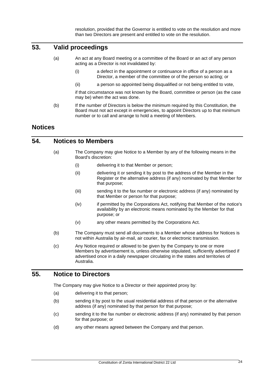resolution, provided that the Governor is entitled to vote on the resolution and more than two Directors are present and entitled to vote on the resolution.

# <span id="page-23-0"></span>**53. Valid proceedings**

- (a) An act at any Board meeting or a committee of the Board or an act of any person acting as a Director is not invalidated by:
	- (i) a defect in the appointment or continuance in office of a person as a Director, a member of the committee or of the person so acting; or
	- (ii) a person so appointed being disqualified or not being entitled to vote,

if that circumstance was not known by the Board, committee or person (as the case may be) when the act was done.

(b) If the number of Directors is below the minimum required by this Constitution, the Board must not act except in emergencies, to appoint Directors up to that minimum number or to call and arrange to hold a meeting of Members.

#### <span id="page-23-1"></span>**Notices**

# <span id="page-23-2"></span>**54. Notices to Members**

- (a) The Company may give Notice to a Member by any of the following means in the Board's discretion:
	- (i) delivering it to that Member or person;
	- (ii) delivering it or sending it by post to the address of the Member in the Register or the alternative address (if any) nominated by that Member for that purpose;
	- (iii) sending it to the fax number or electronic address (if any) nominated by that Member or person for that purpose;
	- (iv) if permitted by the Corporations Act, notifying that Member of the notice's availability by an electronic means nominated by the Member for that purpose; or
	- (v) any other means permitted by the Corporations Act.
- <span id="page-23-4"></span>(b) The Company must send all documents to a Member whose address for Notices is not within Australia by air-mail, air courier, fax or electronic transmission.
- (c) Any Notice required or allowed to be given by the Company to one or more Members by advertisement is, unless otherwise stipulated, sufficiently advertised if advertised once in a daily newspaper circulating in the states and territories of Australia.

### <span id="page-23-3"></span>**55. Notice to Directors**

The Company may give Notice to a Director or their appointed proxy by:

- (a) delivering it to that person;
- (b) sending it by post to the usual residential address of that person or the alternative address (if any) nominated by that person for that purpose;
- (c) sending it to the fax number or electronic address (if any) nominated by that person for that purpose; or
- (d) any other means agreed between the Company and that person.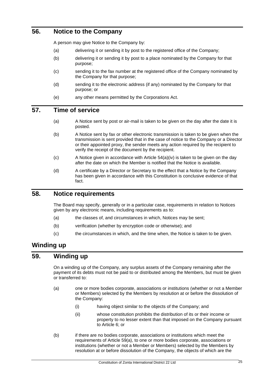# <span id="page-24-0"></span>**56. Notice to the Company**

A person may give Notice to the Company by:

- (a) delivering it or sending it by post to the registered office of the Company;
- (b) delivering it or sending it by post to a place nominated by the Company for that purpose;
- (c) sending it to the fax number at the registered office of the Company nominated by the Company for that purpose;
- (d) sending it to the electronic address (if any) nominated by the Company for that purpose; or
- (e) any other means permitted by the Corporations Act.

#### <span id="page-24-1"></span>**57. Time of service**

- (a) A Notice sent by post or air-mail is taken to be given on the day after the date it is posted.
- (b) A Notice sent by fax or other electronic transmission is taken to be given when the transmission is sent provided that in the case of notice to the Company or a Director or their appointed proxy, the sender meets any action required by the recipient to verify the receipt of the document by the recipient.
- $(c)$  A Notice given in accordance with Article  $54(a)(iv)$  is taken to be given on the day after the date on which the Member is notified that the Notice is available.
- (d) A certificate by a Director or Secretary to the effect that a Notice by the Company has been given in accordance with this Constitution is conclusive evidence of that fact.

#### <span id="page-24-2"></span>**58. Notice requirements**

The Board may specify, generally or in a particular case, requirements in relation to Notices given by any electronic means, including requirements as to:

- (a) the classes of, and circumstances in which, Notices may be sent;
- (b) verification (whether by encryption code or otherwise); and
- (c) the circumstances in which, and the time when, the Notice is taken to be given.

# <span id="page-24-3"></span>**Winding up**

#### <span id="page-24-4"></span>**59. Winding up**

On a winding up of the Company, any surplus assets of the Company remaining after the payment of its debts must not be paid to or distributed among the Members, but must be given or transferred to:

- <span id="page-24-5"></span>(a) one or more bodies corporate, associations or institutions (whether or not a Member or Members) selected by the Members by resolution at or before the dissolution of the Company:
	- (i) having object similar to the objects of the Company; and
	- (ii) whose constitution prohibits the distribution of its or their income or property to no lesser extent than that imposed on the Company pursuant to Article [6;](#page-6-1) or
- <span id="page-24-6"></span>(b) if there are no bodies corporate, associations or institutions which meet the requirements of Article [59\(a\),](#page-24-5) to one or more bodies corporate, associations or institutions (whether or not a Member or Members) selected by the Members by resolution at or before dissolution of the Company, the objects of which are the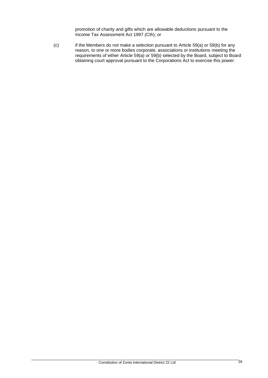promotion of charity and gifts which are allowable deductions pursuant to the Income Tax Assessment Act 1997 (Cth); or

(c) if the Members do not make a selection pursuant to Article [59\(a\)](#page-24-5) or [59\(b\)](#page-24-6) for any reason, to one or more bodies corporate, associations or institutions meeting the requirements of either Article [59\(a\)](#page-24-5) or [59\(b\)](#page-24-6) selected by the Board, subject to Board obtaining court approval pursuant to the Corporations Act to exercise this power.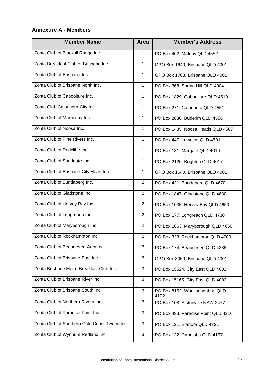# <span id="page-26-0"></span>**Annexure A - Members**

| <b>Member Name</b>                           | <b>Area</b>    | <b>Member's Address</b>                |
|----------------------------------------------|----------------|----------------------------------------|
| Zonta Club of Blackall Range Inc.            | $\mathbf{1}$   | PO Box 402, Maleny QLD 4552            |
| Zonta Breakfast Club of Brisbane Inc.        | $\mathbf{1}$   | GPO Box 1640, Brisbane QLD 4001        |
| Zonta Club of Brisbane Inc.                  | $\mathbf{1}$   | GPO Box 1768, Brisbane QLD 4001        |
| Zonta Club of Brisbane North Inc.            | $\mathbf{1}$   | PO Box 368, Spring Hill QLD 4004       |
| Zonta Club of Caboolture Inc.                | $\mathbf{1}$   | PO Box 1829, Caboolture QLD 4510       |
| Zonta Club Caloundra City Inc.               | $\mathbf{1}$   | PO Box 271, Caloundra QLD 4551         |
| Zonta Club of Maroochy Inc.                  | $\mathbf{1}$   | PO Box 2030, Buderim QLD 4556          |
| Zonta Club of Noosa Inc.                     | $\mathbf{1}$   | PO Box 1485, Noosa Heads QLD 4567      |
| Zonta Club of Pine Rivers Inc.               | $\mathbf{1}$   | PO Box 447, Lawnton QLD 4501           |
| Zonta Club of Redcliffe Inc.                 | $\mathbf{1}$   | PO Box 131, Margate QLD 4019           |
| Zonta Club of Sandgate Inc.                  | $\mathbf{1}$   | PO Box 2120, Brighton QLD 4017         |
| Zonta Club of Brisbane City Heart Inc.       | $\mathbf{1}$   | GPO Box 1640, Brisbane QLD 4001        |
| Zonta Club of Bundaberg Inc.                 | $\overline{2}$ | PO Box 431, Bundaberg QLD 4670         |
| Zonta Club of Gladstone Inc.                 | $\overline{2}$ | PO Box 1847, Gladstone QLD 4680        |
| Zonta Club of Hervey Bay Inc.                | $\overline{2}$ | PO Box 1035, Hervey Bay QLD 4650       |
| Zonta Club of Longreach Inc.                 | $\overline{2}$ | PO Box 177, Longreach QLD 4730         |
| Zonta Club of Maryborough Inc.               | $\overline{2}$ | PO Box 1063, Maryborough QLD 4650      |
| Zonta Club of Rockhampton Inc.               | $\overline{2}$ | PO Box 323, Rockhampton QLD 4700       |
| Zonta Club of Beaudesert Area Inc.           | 3              | PO Box 174, Beaudesert QLD 4285        |
| Zonta Club of Brisbane East Inc.             | 3              | GPO Box 3060, Brisbane QLD 4001        |
| Zonta Brisbane Metro Breakfast Club Inc.     | $\overline{3}$ | PO Box 15524, City East QLD 4002       |
| Zonta Club of Brisbane River Inc.            | 3              | PO Box 15165, City East QLD 4002       |
| Zonta Club of Brisbane South Inc.            | 3              | PO Box 8152, Woolloongabba QLD<br>4102 |
| Zonta Club of Northern Rivers Inc.           | 3              | PO Box 108, Alstonville NSW 2477       |
| Zonta Club of Paradise Point Inc.            | 3              | PO Box 493, Paradise Point QLD 4216    |
| Zonta Club of Southern Gold Coast Tweed Inc. | 3              | PO Box 121, Elanora QLD 4221           |
| Zonta Club of Wynnum Redland Inc.            | $\sqrt{3}$     | PO Box 132, Capalaba QLD 4157          |